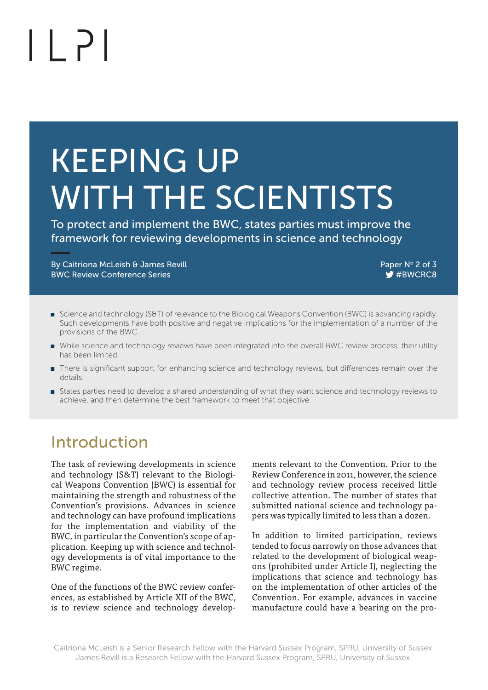# $| |$   $\rangle$

# KEEPING UP WITH THE SCIENTISTS

To protect and implement the BWC, states parties must improve the framework for reviewing developments in science and technology

Paper No By Caitriona McLeish & James Revill 2 of 3 BWC Review Conference Series #BWCRC8 #BWCRC8 #BWCRC8 #BWCRC8 #BWCRC8

- Science and technology (S&T) of relevance to the Biological Weapons Convention (BWC) is advancing rapidly. Such developments have both positive and negative implications for the implementation of a number of the provisions of the BWC.
- While science and technology reviews have been integrated into the overall BWC review process, their utility has been limited.
- **There is significant support for enhancing science and technology reviews, but differences remain over the** details.
- **Example 3** States parties need to develop a shared understanding of what they want science and technology reviews to achieve, and then determine the best framework to meet that objective.

# Introduction

The task of reviewing developments in science and technology (S&T) relevant to the Biological Weapons Convention (BWC) is essential for maintaining the strength and robustness of the Convention's provisions. Advances in science and technology can have profound implications for the implementation and viability of the BWC, in particular the Convention's scope of application. Keeping up with science and technology developments is of vital importance to the BWC regime.

One of the functions of the BWC review conferences, as established by Article XII of the BWC, is to review science and technology developments relevant to the Convention. Prior to the Review Conference in 2011, however, the science and technology review process received little collective attention. The number of states that submitted national science and technology papers was typically limited to less than a dozen.

In addition to limited participation, reviews tended to focus narrowly on those advances that related to the development of biological weapons (prohibited under Article I), neglecting the implications that science and technology has on the implementation of other articles of the Convention. For example, advances in vaccine manufacture could have a bearing on the pro-

Caitriona McLeish is a Senior Research Fellow with the Harvard Sussex Program, SPRU, University of Sussex. James Revill is a Research Fellow with the Harvard Sussex Program, SPRU, University of Sussex.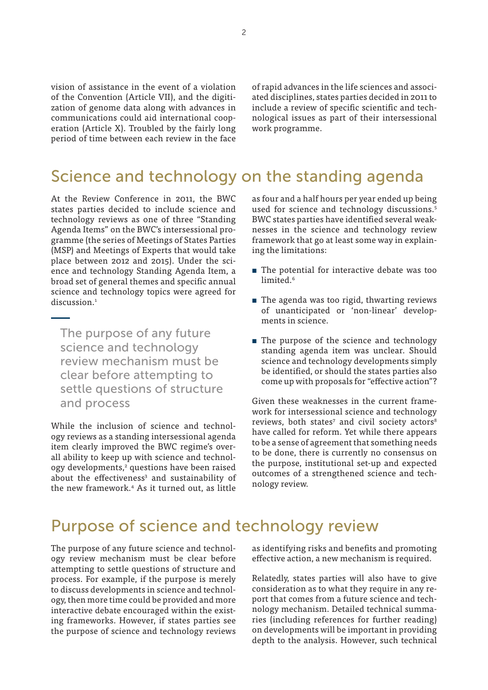vision of assistance in the event of a violation of the Convention (Article VII), and the digitization of genome data along with advances in communications could aid international cooperation (Article X). Troubled by the fairly long period of time between each review in the face

of rapid advances in the life sciences and associated disciplines, states parties decided in 2011 to include a review of specific scientific and technological issues as part of their intersessional work programme.

### Science and technology on the standing agenda

At the Review Conference in 2011, the BWC states parties decided to include science and technology reviews as one of three "Standing Agenda Items" on the BWC's intersessional programme (the series of Meetings of States Parties (MSP) and Meetings of Experts that would take place between 2012 and 2015). Under the science and technology Standing Agenda Item, a broad set of general themes and specific annual science and technology topics were agreed for discussion<sup>1</sup>

The purpose of any future science and technology review mechanism must be clear before attempting to settle questions of structure and process

While the inclusion of science and technology reviews as a standing intersessional agenda item clearly improved the BWC regime's overall ability to keep up with science and technology developments,<sup>2</sup> questions have been raised about the effectiveness<sup>3</sup> and sustainability of the new framework.4 As it turned out, as little as four and a half hours per year ended up being used for science and technology discussions.<sup>5</sup> BWC states parties have identified several weaknesses in the science and technology review framework that go at least some way in explaining the limitations:

- $\blacksquare$  The potential for interactive debate was too limited.<sup>6</sup>
- $\blacksquare$  The agenda was too rigid, thwarting reviews of unanticipated or 'non-linear' developments in science.
- The purpose of the science and technology standing agenda item was unclear. Should science and technology developments simply be identified, or should the states parties also come up with proposals for "effective action"?

Given these weaknesses in the current framework for intersessional science and technology reviews, both states<sup>7</sup> and civil society actors<sup>8</sup> have called for reform. Yet while there appears to be a sense of agreement that something needs to be done, there is currently no consensus on the purpose, institutional set-up and expected outcomes of a strengthened science and technology review.

#### Purpose of science and technology review

The purpose of any future science and technology review mechanism must be clear before attempting to settle questions of structure and process. For example, if the purpose is merely to discuss developments in science and technology, then more time could be provided and more interactive debate encouraged within the existing frameworks. However, if states parties see the purpose of science and technology reviews

as identifying risks and benefits and promoting effective action, a new mechanism is required.

Relatedly, states parties will also have to give consideration as to what they require in any report that comes from a future science and technology mechanism. Detailed technical summaries (including references for further reading) on developments will be important in providing depth to the analysis. However, such technical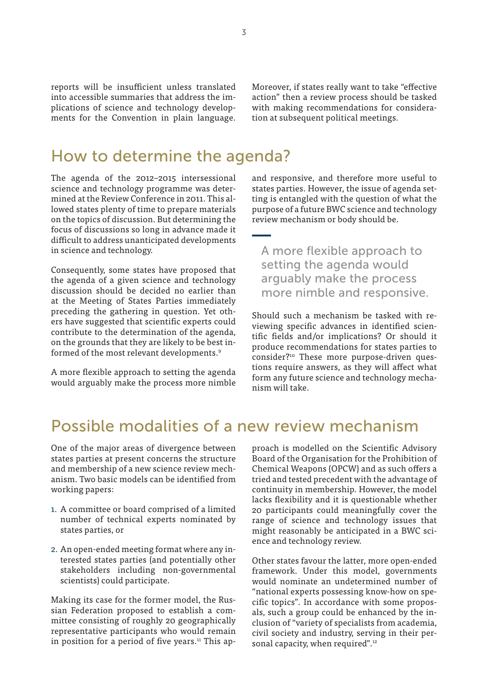reports will be insufficient unless translated into accessible summaries that address the implications of science and technology developments for the Convention in plain language. Moreover, if states really want to take "effective action" then a review process should be tasked with making recommendations for consideration at subsequent political meetings.

#### How to determine the agenda?

The agenda of the 2012–2015 intersessional science and technology programme was determined at the Review Conference in 2011. This allowed states plenty of time to prepare materials on the topics of discussion. But determining the focus of discussions so long in advance made it difficult to address unanticipated developments in science and technology.

Consequently, some states have proposed that the agenda of a given science and technology discussion should be decided no earlier than at the Meeting of States Parties immediately preceding the gathering in question. Yet others have suggested that scientific experts could contribute to the determination of the agenda, on the grounds that they are likely to be best informed of the most relevant developments.9

A more flexible approach to setting the agenda would arguably make the process more nimble and responsive, and therefore more useful to states parties. However, the issue of agenda setting is entangled with the question of what the purpose of a future BWC science and technology review mechanism or body should be.

A more flexible approach to setting the agenda would arguably make the process more nimble and responsive.

Should such a mechanism be tasked with reviewing specific advances in identified scientific fields and/or implications? Or should it produce recommendations for states parties to consider?<sup>10</sup> These more purpose-driven questions require answers, as they will affect what form any future science and technology mechanism will take.

## Possible modalities of a new review mechanism

One of the major areas of divergence between states parties at present concerns the structure and membership of a new science review mechanism. Two basic models can be identified from working papers:

- 1. A committee or board comprised of a limited number of technical experts nominated by states parties, or
- 2. An open-ended meeting format where any interested states parties (and potentially other stakeholders including non-governmental scientists) could participate.

Making its case for the former model, the Russian Federation proposed to establish a committee consisting of roughly 20 geographically representative participants who would remain in position for a period of five years.<sup>11</sup> This approach is modelled on the Scientific Advisory Board of the Organisation for the Prohibition of Chemical Weapons (OPCW) and as such offers a tried and tested precedent with the advantage of continuity in membership. However, the model lacks flexibility and it is questionable whether 20 participants could meaningfully cover the range of science and technology issues that might reasonably be anticipated in a BWC science and technology review.

Other states favour the latter, more open-ended framework. Under this model, governments would nominate an undetermined number of "national experts possessing know-how on specific topics". In accordance with some proposals, such a group could be enhanced by the inclusion of "variety of specialists from academia, civil society and industry, serving in their personal capacity, when required".<sup>12</sup>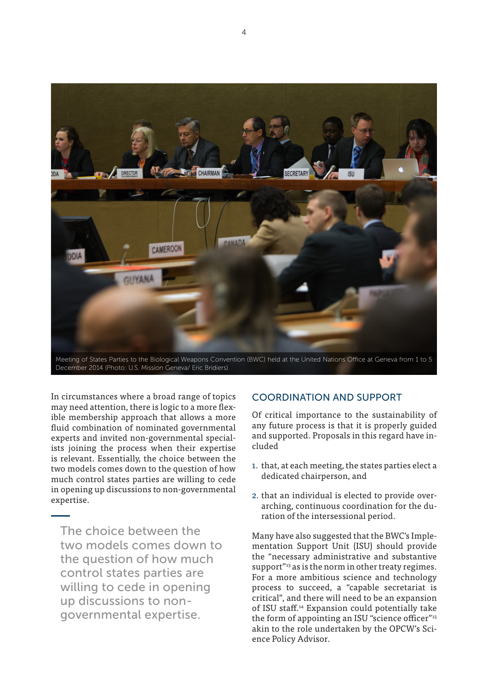

December 2014 (Photo: U.S. Mission Geneva/ Eric Bridiers).

In circumstances where a broad range of topics may need attention, there is logic to a more flexible membership approach that allows a more fluid combination of nominated governmental experts and invited non-governmental specialists joining the process when their expertise is relevant. Essentially, the choice between the two models comes down to the question of how much control states parties are willing to cede in opening up discussions to non-governmental expertise.

The choice between the two models comes down to the question of how much control states parties are willing to cede in opening up discussions to nongovernmental expertise.

#### COORDINATION AND SUPPORT

Of critical importance to the sustainability of any future process is that it is properly guided and supported. Proposals in this regard have included

- 1. that, at each meeting, the states parties elect a dedicated chairperson, and
- 2. that an individual is elected to provide overarching, continuous coordination for the duration of the intersessional period.

Many have also suggested that the BWC's Implementation Support Unit (ISU) should provide the "necessary administrative and substantive support<sup>"13</sup> as is the norm in other treaty regimes. For a more ambitious science and technology process to succeed, a "capable secretariat is critical", and there will need to be an expansion of ISU staff.14 Expansion could potentially take the form of appointing an ISU "science officer"<sup>15</sup> akin to the role undertaken by the OPCW's Science Policy Advisor.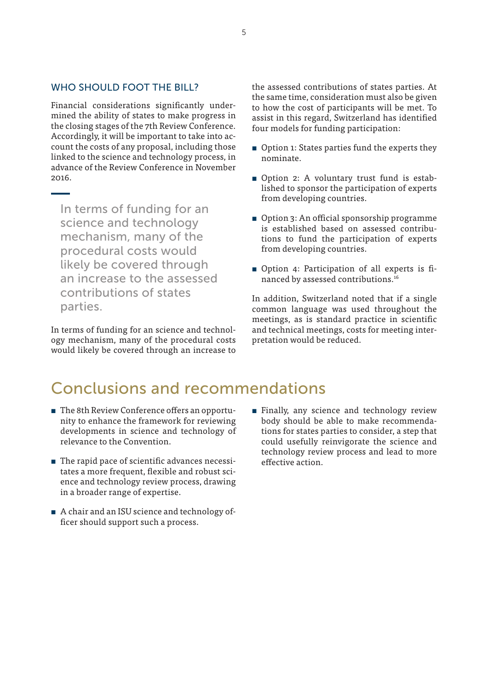#### WHO SHOULD FOOT THE BILL?

Financial considerations significantly undermined the ability of states to make progress in the closing stages of the 7th Review Conference. Accordingly, it will be important to take into account the costs of any proposal, including those linked to the science and technology process, in advance of the Review Conference in November 2016.

In terms of funding for an science and technology mechanism, many of the procedural costs would likely be covered through an increase to the assessed contributions of states parties.

In terms of funding for an science and technology mechanism, many of the procedural costs would likely be covered through an increase to

the assessed contributions of states parties. At the same time, consideration must also be given to how the cost of participants will be met. To assist in this regard, Switzerland has identified four models for funding participation:

- $\blacksquare$  Option 1: States parties fund the experts they nominate.
- **•** Option 2: A voluntary trust fund is established to sponsor the participation of experts from developing countries.
- Option 3: An official sponsorship programme is established based on assessed contributions to fund the participation of experts from developing countries.
- **•** Option 4: Participation of all experts is financed by assessed contributions.16

In addition, Switzerland noted that if a single common language was used throughout the meetings, as is standard practice in scientific and technical meetings, costs for meeting interpretation would be reduced.

# Conclusions and recommendations

- The 8th Review Conference offers an opportunity to enhance the framework for reviewing developments in science and technology of relevance to the Convention.
- **n** The rapid pace of scientific advances necessitates a more frequent, flexible and robust science and technology review process, drawing in a broader range of expertise.
- A chair and an ISU science and technology officer should support such a process.
- **Example 1** Finally, any science and technology review body should be able to make recommendations for states parties to consider, a step that could usefully reinvigorate the science and technology review process and lead to more effective action.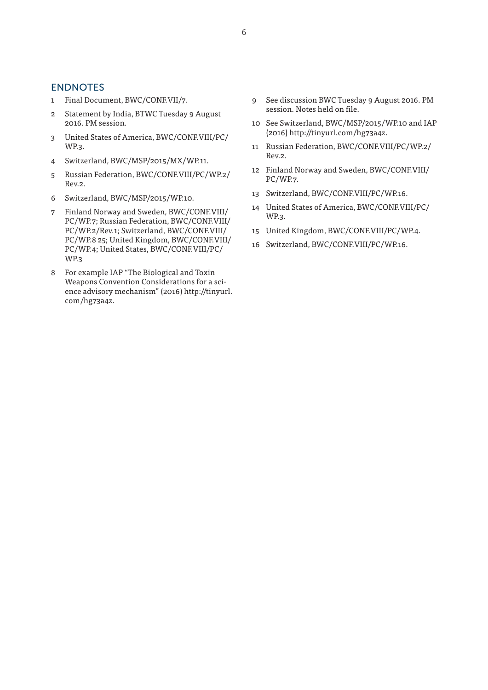#### **ENDNOTES**

- 1 Final Document, BWC/CONF.VII/7.
- 2 Statement by India, BTWC Tuesday 9 August 2016. PM session.
- 3 United States of America, BWC/CONF.VIII/PC/ WP.3.
- 4 Switzerland, BWC/MSP/2015/MX/WP.11.
- 5 Russian Federation, BWC/CONF.VIII/PC/WP.2/ Rev.2.
- 6 Switzerland, BWC/MSP/2015/WP.10.
- 7 Finland Norway and Sweden, BWC/CONF.VIII/ PC/WP.7; Russian Federation, BWC/CONF.VIII/ PC/WP.2/Rev.1; Switzerland, BWC/CONF.VIII/ PC/WP.8 25; United Kingdom, BWC/CONF.VIII/ PC/WP.4; United States, BWC/CONF.VIII/PC/ WP.3
- 8 For example IAP "The Biological and Toxin Weapons Convention Considerations for a science advisory mechanism" (2016) http://tinyurl. com/hg73a4z.
- 9 See discussion BWC Tuesday 9 August 2016. PM session. Notes held on file.
- 10 See Switzerland, BWC/MSP/2015/WP.10 and IAP (2016) http://tinyurl.com/hg73a4z.
- 11 Russian Federation, BWC/CONF.VIII/PC/WP.2/ Rev.2.
- 12 Finland Norway and Sweden, BWC/CONF.VIII/ PC/WP.7.
- 13 Switzerland, BWC/CONF.VIII/PC/WP.16.
- 14 United States of America, BWC/CONF.VIII/PC/ WP.3.
- 15 United Kingdom, BWC/CONF.VIII/PC/WP.4.
- 16 Switzerland, BWC/CONF.VIII/PC/WP.16.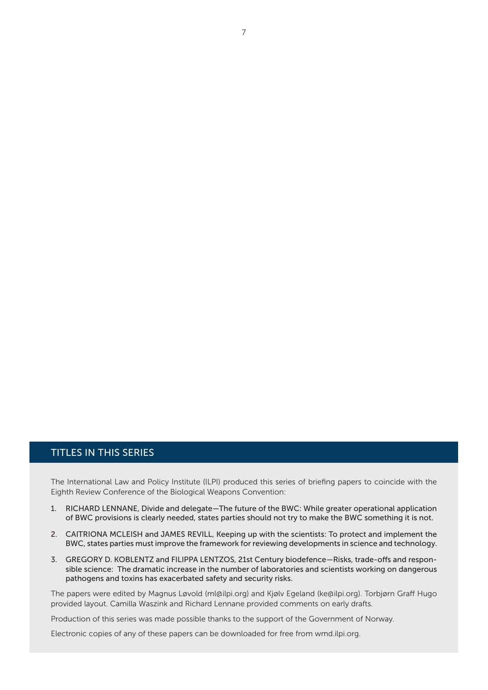#### TITLES IN THIS SERIES

The International Law and Policy Institute (ILPI) produced this series of briefing papers to coincide with the Eighth Review Conference of the Biological Weapons Convention:

- 1. RICHARD LENNANE, Divide and delegate—The future of the BWC: While greater operational application of BWC provisions is clearly needed, states parties should not try to make the BWC something it is not.
- 2. CAITRIONA MCLEISH and JAMES REVILL, Keeping up with the scientists: To protect and implement the BWC, states parties must improve the framework for reviewing developments in science and technology.
- 3. GREGORY D. KOBLENTZ and FILIPPA LENTZOS, 21st Century biodefence—Risks, trade-offs and responsible science: The dramatic increase in the number of laboratories and scientists working on dangerous pathogens and toxins has exacerbated safety and security risks.

The papers were edited by Magnus Løvold (ml@ilpi.org) and Kjølv Egeland (ke@ilpi.org). Torbjørn Graff Hugo provided layout. Camilla Waszink and Richard Lennane provided comments on early drafts.

Production of this series was made possible thanks to the support of the Government of Norway.

Electronic copies of any of these papers can be downloaded for free from wmd.ilpi.org.